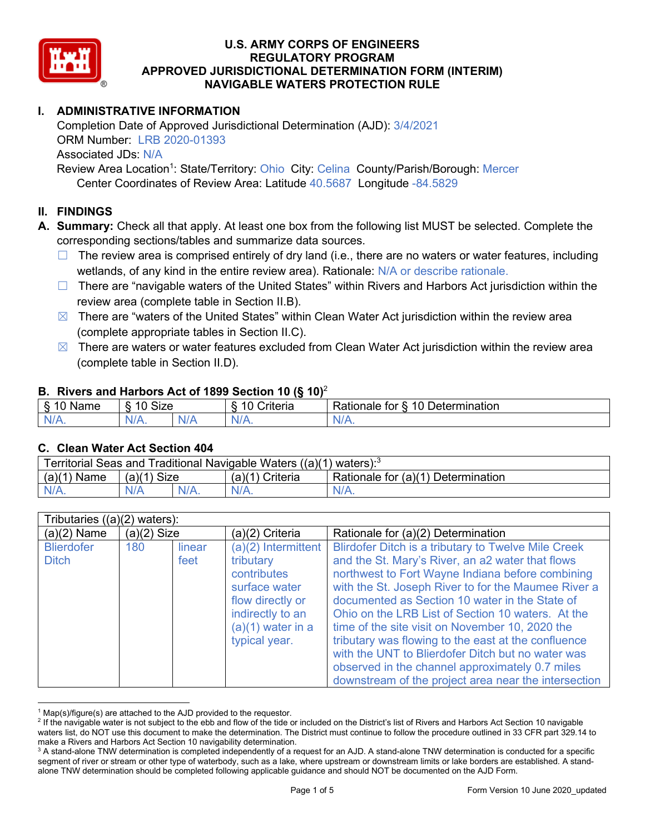

# **I. ADMINISTRATIVE INFORMATION**

Completion Date of Approved Jurisdictional Determination (AJD): 3/4/2021 ORM Number: LRB 2020-01393 Associated JDs: N/A Review Area Location<sup>1</sup>: State/Territory: Ohio City: Celina County/Parish/Borough: Mercer

Center Coordinates of Review Area: Latitude 40.5687 Longitude -84.5829

# **II. FINDINGS**

**A. Summary:** Check all that apply. At least one box from the following list MUST be selected. Complete the corresponding sections/tables and summarize data sources.

- $\Box$  The review area is comprised entirely of dry land (i.e., there are no waters or water features, including wetlands, of any kind in the entire review area). Rationale: N/A or describe rationale.
- $\Box$  There are "navigable waters of the United States" within Rivers and Harbors Act jurisdiction within the review area (complete table in Section II.B).
- $\boxtimes$  There are "waters of the United States" within Clean Water Act jurisdiction within the review area (complete appropriate tables in Section II.C).
- $\boxtimes$  There are waters or water features excluded from Clean Water Act jurisdiction within the review area (complete table in Section II.D).

#### **B. Rivers and Harbors Act of 1899 Section 10 (§ 10)**<sup>2</sup>

| w                                    |                      |        |                                                               |                                                      |  |  |  |
|--------------------------------------|----------------------|--------|---------------------------------------------------------------|------------------------------------------------------|--|--|--|
| $\sim$<br>$-1$ a las $-$<br>ame<br>w | 10<br>$\sim$<br>SIZE |        | .<br>10<br>$^{\circ}$ rıt $\cap$ rı $\cap$<br><b>AIIGII</b> a | -<br>$\sqrt{ }$<br>⊃etermınatıon<br>Rationale<br>tor |  |  |  |
| N/A.                                 | чνь<br>wиг<br>. .    | w<br>. | N/A                                                           | $N_{\ell}$<br>$\mathbf{v}$                           |  |  |  |

#### **C. Clean Water Act Section 404**

| Territorial Seas and Traditional Navigable Waters $((a)(1)$ waters): <sup>3</sup> |                |  |                   |                                    |  |  |  |
|-----------------------------------------------------------------------------------|----------------|--|-------------------|------------------------------------|--|--|--|
| (a)(1)<br>Name                                                                    | Size<br>(a)(1) |  | $(a)(1)$ Criteria | Rationale for (a)(1) Determination |  |  |  |
|                                                                                   | N/A            |  | $N/A$ .           | $N/A$ .                            |  |  |  |

|                                   | Tributaries $((a)(2)$ waters): |                |                                                                                                                                                  |                                                                                                                                                                                                                                                                                                                                                                                                                                                                                                 |  |  |  |  |
|-----------------------------------|--------------------------------|----------------|--------------------------------------------------------------------------------------------------------------------------------------------------|-------------------------------------------------------------------------------------------------------------------------------------------------------------------------------------------------------------------------------------------------------------------------------------------------------------------------------------------------------------------------------------------------------------------------------------------------------------------------------------------------|--|--|--|--|
| $(a)(2)$ Name                     | $(a)(2)$ Size                  |                | (a)(2) Criteria                                                                                                                                  | Rationale for (a)(2) Determination                                                                                                                                                                                                                                                                                                                                                                                                                                                              |  |  |  |  |
| <b>Blierdofer</b><br><b>Ditch</b> | 180                            | linear<br>feet | (a)(2) Intermittent<br>tributary<br>contributes<br>surface water<br>flow directly or<br>indirectly to an<br>$(a)(1)$ water in a<br>typical year. | <b>Blirdofer Ditch is a tributary to Twelve Mile Creek</b><br>and the St. Mary's River, an a2 water that flows<br>northwest to Fort Wayne Indiana before combining<br>with the St. Joseph River to for the Maumee River a<br>documented as Section 10 water in the State of<br>Ohio on the LRB List of Section 10 waters. At the<br>time of the site visit on November 10, 2020 the<br>tributary was flowing to the east at the confluence<br>with the UNT to Blierdofer Ditch but no water was |  |  |  |  |
|                                   |                                |                |                                                                                                                                                  | observed in the channel approximately 0.7 miles<br>downstream of the project area near the intersection                                                                                                                                                                                                                                                                                                                                                                                         |  |  |  |  |

 $1$  Map(s)/figure(s) are attached to the AJD provided to the requestor.

<sup>&</sup>lt;sup>2</sup> If the navigable water is not subject to the ebb and flow of the tide or included on the District's list of Rivers and Harbors Act Section 10 navigable waters list, do NOT use this document to make the determination. The District must continue to follow the procedure outlined in 33 CFR part 329.14 to make a Rivers and Harbors Act Section 10 navigability determination.

<sup>&</sup>lt;sup>3</sup> A stand-alone TNW determination is completed independently of a request for an AJD. A stand-alone TNW determination is conducted for a specific segment of river or stream or other type of waterbody, such as a lake, where upstream or downstream limits or lake borders are established. A standalone TNW determination should be completed following applicable guidance and should NOT be documented on the AJD Form.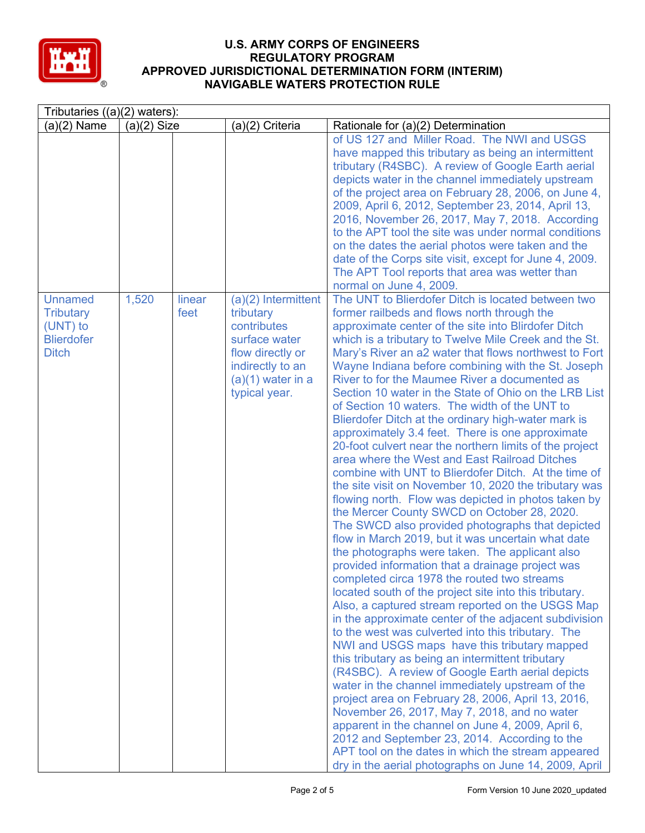

| Tributaries $((a)(2)$ waters):                                                      |               |                |                                                                                                                                                    |                                                                                                                                                                                                                                                                                                                                                                                                                                                                                                                                                                                                                                                                                                                                                                                                                                                                                                                                                                                                                                                                                                                                                                                                                                                                                                                                                                                                                                                                                                                                                                                                                                                                                                                                                                                                                                                                                                                                                                               |  |  |  |
|-------------------------------------------------------------------------------------|---------------|----------------|----------------------------------------------------------------------------------------------------------------------------------------------------|-------------------------------------------------------------------------------------------------------------------------------------------------------------------------------------------------------------------------------------------------------------------------------------------------------------------------------------------------------------------------------------------------------------------------------------------------------------------------------------------------------------------------------------------------------------------------------------------------------------------------------------------------------------------------------------------------------------------------------------------------------------------------------------------------------------------------------------------------------------------------------------------------------------------------------------------------------------------------------------------------------------------------------------------------------------------------------------------------------------------------------------------------------------------------------------------------------------------------------------------------------------------------------------------------------------------------------------------------------------------------------------------------------------------------------------------------------------------------------------------------------------------------------------------------------------------------------------------------------------------------------------------------------------------------------------------------------------------------------------------------------------------------------------------------------------------------------------------------------------------------------------------------------------------------------------------------------------------------------|--|--|--|
| $(a)(2)$ Name                                                                       | $(a)(2)$ Size |                | (a)(2) Criteria                                                                                                                                    | Rationale for (a)(2) Determination                                                                                                                                                                                                                                                                                                                                                                                                                                                                                                                                                                                                                                                                                                                                                                                                                                                                                                                                                                                                                                                                                                                                                                                                                                                                                                                                                                                                                                                                                                                                                                                                                                                                                                                                                                                                                                                                                                                                            |  |  |  |
|                                                                                     |               |                |                                                                                                                                                    | of US 127 and Miller Road. The NWI and USGS<br>have mapped this tributary as being an intermittent<br>tributary (R4SBC). A review of Google Earth aerial<br>depicts water in the channel immediately upstream<br>of the project area on February 28, 2006, on June 4,<br>2009, April 6, 2012, September 23, 2014, April 13,<br>2016, November 26, 2017, May 7, 2018. According<br>to the APT tool the site was under normal conditions<br>on the dates the aerial photos were taken and the<br>date of the Corps site visit, except for June 4, 2009.<br>The APT Tool reports that area was wetter than<br>normal on June 4, 2009.                                                                                                                                                                                                                                                                                                                                                                                                                                                                                                                                                                                                                                                                                                                                                                                                                                                                                                                                                                                                                                                                                                                                                                                                                                                                                                                                            |  |  |  |
| <b>Unnamed</b><br><b>Tributary</b><br>(UNT) to<br><b>Blierdofer</b><br><b>Ditch</b> | 1,520         | linear<br>feet | $(a)(2)$ Intermittent<br>tributary<br>contributes<br>surface water<br>flow directly or<br>indirectly to an<br>$(a)(1)$ water in a<br>typical year. | The UNT to Blierdofer Ditch is located between two<br>former railbeds and flows north through the<br>approximate center of the site into Blirdofer Ditch<br>which is a tributary to Twelve Mile Creek and the St.<br>Mary's River an a2 water that flows northwest to Fort<br>Wayne Indiana before combining with the St. Joseph<br>River to for the Maumee River a documented as<br>Section 10 water in the State of Ohio on the LRB List<br>of Section 10 waters. The width of the UNT to<br>Blierdofer Ditch at the ordinary high-water mark is<br>approximately 3.4 feet. There is one approximate<br>20-foot culvert near the northern limits of the project<br>area where the West and East Railroad Ditches<br>combine with UNT to Blierdofer Ditch. At the time of<br>the site visit on November 10, 2020 the tributary was<br>flowing north. Flow was depicted in photos taken by<br>the Mercer County SWCD on October 28, 2020.<br>The SWCD also provided photographs that depicted<br>flow in March 2019, but it was uncertain what date<br>the photographs were taken. The applicant also<br>provided information that a drainage project was<br>completed circa 1978 the routed two streams<br>located south of the project site into this tributary.<br>Also, a captured stream reported on the USGS Map<br>in the approximate center of the adjacent subdivision<br>to the west was culverted into this tributary. The<br>NWI and USGS maps have this tributary mapped<br>this tributary as being an intermittent tributary<br>(R4SBC). A review of Google Earth aerial depicts<br>water in the channel immediately upstream of the<br>project area on February 28, 2006, April 13, 2016,<br>November 26, 2017, May 7, 2018, and no water<br>apparent in the channel on June 4, 2009, April 6,<br>2012 and September 23, 2014. According to the<br>APT tool on the dates in which the stream appeared<br>dry in the aerial photographs on June 14, 2009, April |  |  |  |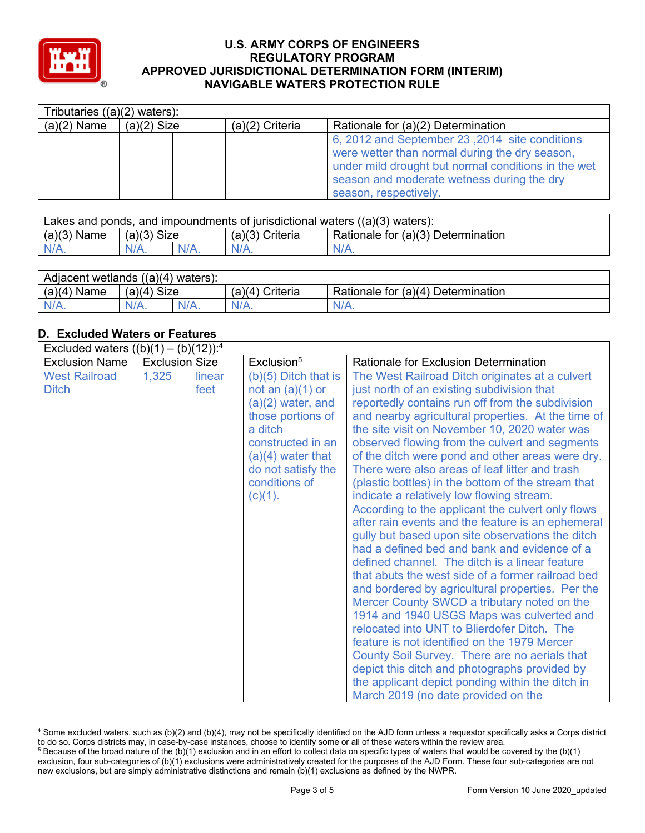

| Tributaries $((a)(2)$ waters): |               |                   |                                                                                                                                                                                                                                |  |  |  |  |  |
|--------------------------------|---------------|-------------------|--------------------------------------------------------------------------------------------------------------------------------------------------------------------------------------------------------------------------------|--|--|--|--|--|
| $(a)(2)$ Name                  | $(a)(2)$ Size | $(a)(2)$ Criteria | Rationale for (a)(2) Determination                                                                                                                                                                                             |  |  |  |  |  |
|                                |               |                   | 6, 2012 and September 23, 2014 site conditions<br>were wetter than normal during the dry season,<br>under mild drought but normal conditions in the wet<br>season and moderate wetness during the dry<br>season, respectively. |  |  |  |  |  |

| Lakes and ponds, and impoundments of jurisdictional waters ((a)(3) waters): |                |  |                      |                                      |  |  |
|-----------------------------------------------------------------------------|----------------|--|----------------------|--------------------------------------|--|--|
| (a)(3)<br>Name                                                              | Size<br>(a)(3) |  | (a)(3) (<br>Criteria | ' Rationale for (a)(3) Determination |  |  |
|                                                                             |                |  |                      | $N/A$ .                              |  |  |

| Adjacent wetlands<br>$( (a)(4)$ waters): |                |         |                   |                                         |  |  |  |
|------------------------------------------|----------------|---------|-------------------|-----------------------------------------|--|--|--|
| (a)(4)<br>` Name                         | Size<br>(a)(4) |         | (a)(4<br>Criteria | r (a)(4) Determination<br>Rationale for |  |  |  |
| $N/A$ .                                  | $N/A$ .        | $N/A$ . | $N/A$ .           | $N/A$ .                                 |  |  |  |

# **D. Excluded Waters or Features**

| Excluded waters $((b)(1) - (b)(12))$ : <sup>4</sup> |                       |                |                                                                                                                                                                                                      |                                                                                                                                                                                                                                                                                                                                                                                                                                                                                                                                                                                                                                                                                                                                                                                                                                                                                                                                                                                                                                                                                                                                                                                                                                                                                      |  |  |  |
|-----------------------------------------------------|-----------------------|----------------|------------------------------------------------------------------------------------------------------------------------------------------------------------------------------------------------------|--------------------------------------------------------------------------------------------------------------------------------------------------------------------------------------------------------------------------------------------------------------------------------------------------------------------------------------------------------------------------------------------------------------------------------------------------------------------------------------------------------------------------------------------------------------------------------------------------------------------------------------------------------------------------------------------------------------------------------------------------------------------------------------------------------------------------------------------------------------------------------------------------------------------------------------------------------------------------------------------------------------------------------------------------------------------------------------------------------------------------------------------------------------------------------------------------------------------------------------------------------------------------------------|--|--|--|
| <b>Exclusion Name</b>                               | <b>Exclusion Size</b> |                | Exclusion <sup>5</sup>                                                                                                                                                                               | <b>Rationale for Exclusion Determination</b>                                                                                                                                                                                                                                                                                                                                                                                                                                                                                                                                                                                                                                                                                                                                                                                                                                                                                                                                                                                                                                                                                                                                                                                                                                         |  |  |  |
| <b>West Railroad</b><br><b>Ditch</b>                | 1,325                 | linear<br>feet | $(b)(5)$ Ditch that is<br>not an $(a)(1)$ or<br>$(a)(2)$ water, and<br>those portions of<br>a ditch<br>constructed in an<br>$(a)(4)$ water that<br>do not satisfy the<br>conditions of<br>$(c)(1)$ . | The West Railroad Ditch originates at a culvert<br>just north of an existing subdivision that<br>reportedly contains run off from the subdivision<br>and nearby agricultural properties. At the time of<br>the site visit on November 10, 2020 water was<br>observed flowing from the culvert and segments<br>of the ditch were pond and other areas were dry.<br>There were also areas of leaf litter and trash<br>(plastic bottles) in the bottom of the stream that<br>indicate a relatively low flowing stream.<br>According to the applicant the culvert only flows<br>after rain events and the feature is an ephemeral<br>gully but based upon site observations the ditch<br>had a defined bed and bank and evidence of a<br>defined channel. The ditch is a linear feature<br>that abuts the west side of a former railroad bed<br>and bordered by agricultural properties. Per the<br>Mercer County SWCD a tributary noted on the<br>1914 and 1940 USGS Maps was culverted and<br>relocated into UNT to Blierdofer Ditch. The<br>feature is not identified on the 1979 Mercer<br>County Soil Survey. There are no aerials that<br>depict this ditch and photographs provided by<br>the applicant depict ponding within the ditch in<br>March 2019 (no date provided on the |  |  |  |

<sup>4</sup> Some excluded waters, such as (b)(2) and (b)(4), may not be specifically identified on the AJD form unless a requestor specifically asks a Corps district to do so. Corps districts may, in case-by-case instances, choose to identify some or all of these waters within the review area.

 $5$  Because of the broad nature of the (b)(1) exclusion and in an effort to collect data on specific types of waters that would be covered by the (b)(1) exclusion, four sub-categories of (b)(1) exclusions were administratively created for the purposes of the AJD Form. These four sub-categories are not new exclusions, but are simply administrative distinctions and remain (b)(1) exclusions as defined by the NWPR.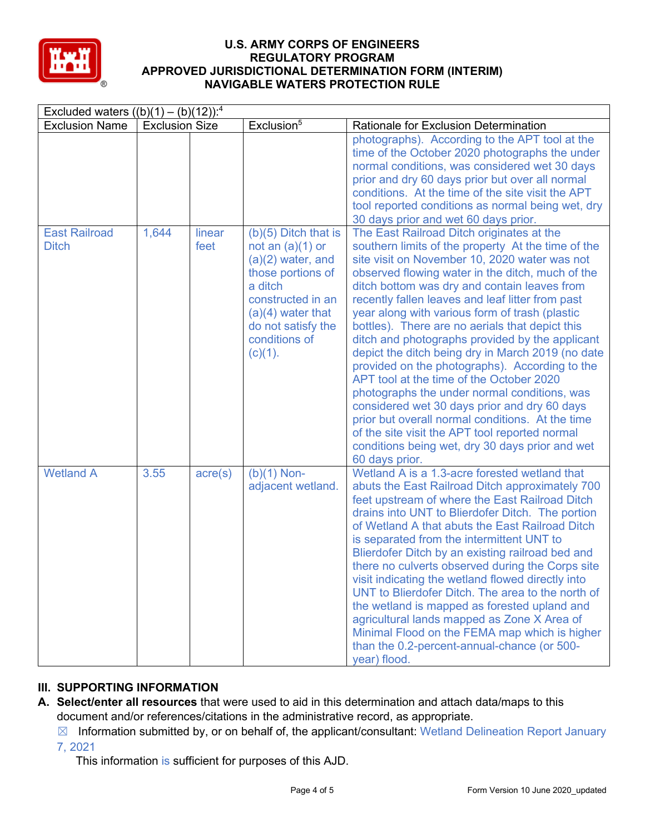

| Excluded waters $((b)(1) - (b)(12))$ : <sup>4</sup> |                       |                  |                                                                                                                                                                                                      |                                                                                                                                                                                                                                                                                                                                                                                                                                                                                                                                                                                                                                                                                                                                                                                                                                                                                                |  |  |  |
|-----------------------------------------------------|-----------------------|------------------|------------------------------------------------------------------------------------------------------------------------------------------------------------------------------------------------------|------------------------------------------------------------------------------------------------------------------------------------------------------------------------------------------------------------------------------------------------------------------------------------------------------------------------------------------------------------------------------------------------------------------------------------------------------------------------------------------------------------------------------------------------------------------------------------------------------------------------------------------------------------------------------------------------------------------------------------------------------------------------------------------------------------------------------------------------------------------------------------------------|--|--|--|
| <b>Exclusion Name</b>                               | <b>Exclusion Size</b> |                  | Exclusion <sup>5</sup>                                                                                                                                                                               | Rationale for Exclusion Determination                                                                                                                                                                                                                                                                                                                                                                                                                                                                                                                                                                                                                                                                                                                                                                                                                                                          |  |  |  |
|                                                     |                       |                  |                                                                                                                                                                                                      | photographs). According to the APT tool at the<br>time of the October 2020 photographs the under<br>normal conditions, was considered wet 30 days<br>prior and dry 60 days prior but over all normal<br>conditions. At the time of the site visit the APT<br>tool reported conditions as normal being wet, dry<br>30 days prior and wet 60 days prior.                                                                                                                                                                                                                                                                                                                                                                                                                                                                                                                                         |  |  |  |
| <b>East Railroad</b><br><b>Ditch</b>                | 1,644                 | linear<br>feet   | $(b)(5)$ Ditch that is<br>not an $(a)(1)$ or<br>$(a)(2)$ water, and<br>those portions of<br>a ditch<br>constructed in an<br>$(a)(4)$ water that<br>do not satisfy the<br>conditions of<br>$(c)(1)$ . | The East Railroad Ditch originates at the<br>southern limits of the property At the time of the<br>site visit on November 10, 2020 water was not<br>observed flowing water in the ditch, much of the<br>ditch bottom was dry and contain leaves from<br>recently fallen leaves and leaf litter from past<br>year along with various form of trash (plastic<br>bottles). There are no aerials that depict this<br>ditch and photographs provided by the applicant<br>depict the ditch being dry in March 2019 (no date<br>provided on the photographs). According to the<br>APT tool at the time of the October 2020<br>photographs the under normal conditions, was<br>considered wet 30 days prior and dry 60 days<br>prior but overall normal conditions. At the time<br>of the site visit the APT tool reported normal<br>conditions being wet, dry 30 days prior and wet<br>60 days prior. |  |  |  |
| <b>Wetland A</b>                                    | 3.55                  | $\text{acre}(s)$ | $(b)(1)$ Non-<br>adjacent wetland.                                                                                                                                                                   | Wetland A is a 1.3-acre forested wetland that<br>abuts the East Railroad Ditch approximately 700<br>feet upstream of where the East Railroad Ditch<br>drains into UNT to Blierdofer Ditch. The portion<br>of Wetland A that abuts the East Railroad Ditch<br>is separated from the intermittent UNT to<br>Blierdofer Ditch by an existing railroad bed and<br>there no culverts observed during the Corps site<br>visit indicating the wetland flowed directly into<br>UNT to Blierdofer Ditch. The area to the north of<br>the wetland is mapped as forested upland and<br>agricultural lands mapped as Zone X Area of<br>Minimal Flood on the FEMA map which is higher<br>than the 0.2-percent-annual-chance (or 500-<br>year) flood.                                                                                                                                                        |  |  |  |

# **III. SUPPORTING INFORMATION**

- **A. Select/enter all resources** that were used to aid in this determination and attach data/maps to this document and/or references/citations in the administrative record, as appropriate.
	- $\boxtimes$  Information submitted by, or on behalf of, the applicant/consultant: Wetland Delineation Report January 7, 2021

This information is sufficient for purposes of this AJD.